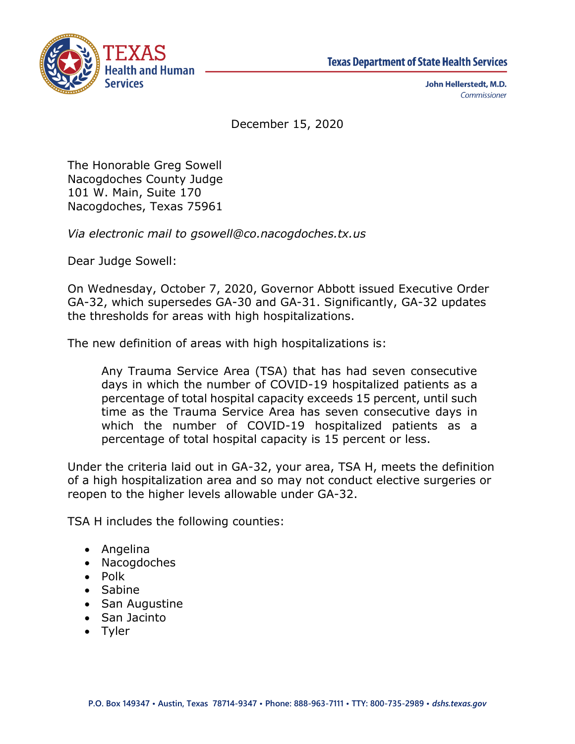



John Hellerstedt, M.D. Commissioner

December 15, 2020

The Honorable Greg Sowell Nacogdoches County Judge 101 W. Main, Suite 170 Nacogdoches, Texas 75961

*Via electronic mail to gsowell@co.nacogdoches.tx.us*

Dear Judge Sowell:

On Wednesday, October 7, 2020, Governor Abbott issued Executive Order GA-32, which supersedes GA-30 and GA-31. Significantly, GA-32 updates the thresholds for areas with high hospitalizations.

The new definition of areas with high hospitalizations is:

Any Trauma Service Area (TSA) that has had seven consecutive days in which the number of COVID-19 hospitalized patients as a percentage of total hospital capacity exceeds 15 percent, until such time as the Trauma Service Area has seven consecutive days in which the number of COVID-19 hospitalized patients as a percentage of total hospital capacity is 15 percent or less.

Under the criteria laid out in GA-32, your area, TSA H, meets the definition of a high hospitalization area and so may not conduct elective surgeries or reopen to the higher levels allowable under GA-32.

TSA H includes the following counties:

- Angelina
- Nacogdoches
- Polk
- Sabine
- San Augustine
- San Jacinto
- Tyler